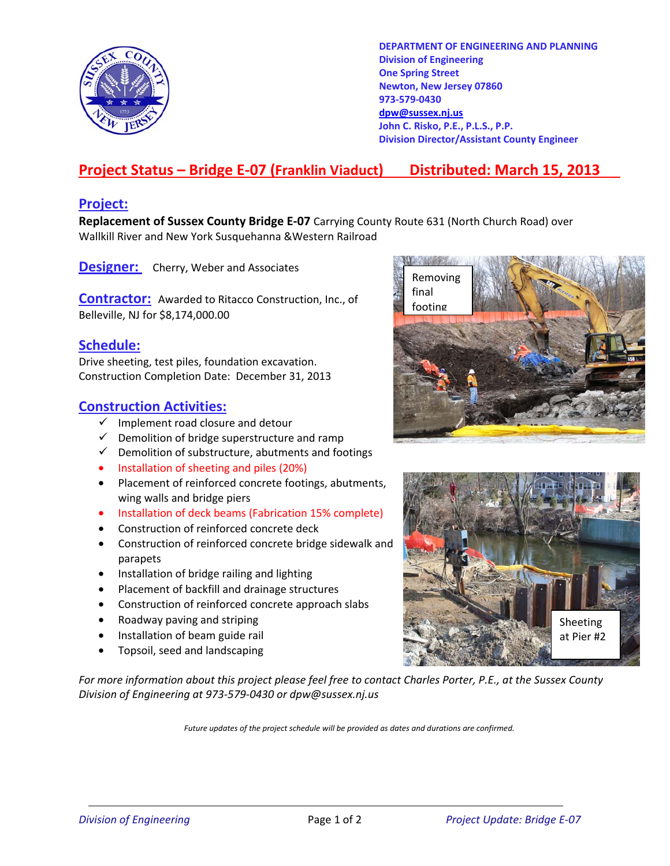

**DEPARTMENT OF ENGINEERING AND PLANNING Division of Engineering One Spring Street Newton, New Jersey 07860 973-579-0430 dpw@sussex.nj.us John C. Risko, P.E., P.L.S., P.P. Division Director/Assistant County Engineer** 

# **Project Status – Bridge E-07 (Franklin Viaduct) Distributed: March 15, 2013**

#### **Project:**

**Replacement of Sussex County Bridge E-07** Carrying County Route 631 (North Church Road) over Wallkill River and New York Susquehanna &Western Railroad

**Designer:** Cherry, Weber and Associates

**Contractor:** Awarded to Ritacco Construction, Inc., of **Contractor:** Awarded to Ritacco Construction, Inc., of Belleville, NJ for \$8,174,000.00

#### **Schedule:**

Drive sheeting, test piles, foundation excavation. Construction Completion Date: December 31, 2013

### **Construction Activities:**

- $\checkmark$  Implement road closure and detour
- $\checkmark$  Demolition of bridge superstructure and ramp
- $\checkmark$  Demolition of substructure, abutments and footings
- Installation of sheeting and piles (20%)
- Placement of reinforced concrete footings, abutments, wing walls and bridge piers
- Installation of deck beams (Fabrication 15% complete)
- Construction of reinforced concrete deck
- Construction of reinforced concrete bridge sidewalk and parapets
- Installation of bridge railing and lighting
- Placement of backfill and drainage structures
- Construction of reinforced concrete approach slabs
- Roadway paving and striping
- Installation of beam guide rail
- Topsoil, seed and landscaping

*For more information about this project please feel free to contact Charles Porter, P.E., at the Sussex County Division of Engineering at 973-579-0430 or dpw@sussex.nj.us* 

*Future updates of the project schedule will be provided as dates and durations are confirmed.*